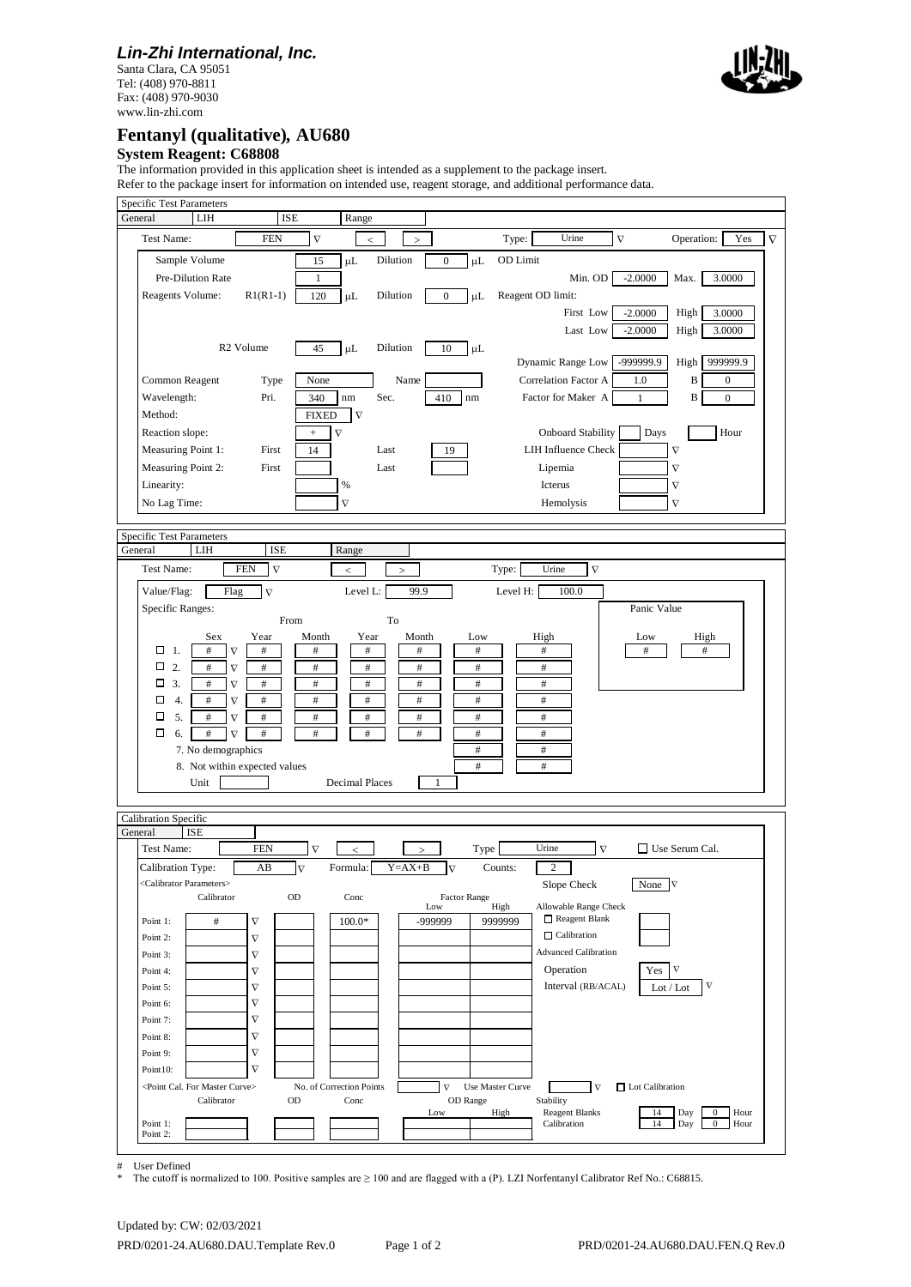### *Lin-Zhi International, Inc.*

Santa Clara, CA 95051 Tel: (408) 970-8811 Fax: (408) 970-9030 www.lin-zhi.com



# **Fentanyl (qualitative)***,* **AU680**

#### **System Reagent: C68808**

The information provided in this application sheet is intended as a supplement to the package insert.

Refer to the package insert for information on intended use, reagent storage, and additional performance data.

| <b>Specific Test Parameters</b><br>LIH<br>General      | <b>ISE</b>                        | Range                               |              |                             |                   |                                      |                        |                                                                    |                 |
|--------------------------------------------------------|-----------------------------------|-------------------------------------|--------------|-----------------------------|-------------------|--------------------------------------|------------------------|--------------------------------------------------------------------|-----------------|
|                                                        |                                   |                                     |              |                             |                   |                                      |                        |                                                                    |                 |
| Test Name:                                             | <b>FEN</b>                        | $\nabla$<br>$\,<$                   | $\,>$        |                             | Type:             | Urine                                | $\nabla$               | Operation:                                                         | Yes<br>$\nabla$ |
| Sample Volume                                          |                                   | μL<br>15                            | Dilution     | $\mu$ L<br>$\boldsymbol{0}$ | OD Limit          |                                      |                        |                                                                    |                 |
| Pre-Dilution Rate                                      |                                   | 1                                   |              |                             |                   | Min. OD                              | $-2.0000$              | Max.<br>3.0000                                                     |                 |
| Reagents Volume:                                       | $R1(R1-1)$                        | 120<br>μL                           | Dilution     | $\mathbf{0}$<br>μL          | Reagent OD limit: |                                      |                        |                                                                    |                 |
|                                                        |                                   |                                     |              |                             |                   | First Low<br>Last Low                | $-2.0000$<br>$-2.0000$ | High<br>3.0000<br>High<br>3.0000                                   |                 |
|                                                        | R <sub>2</sub> Volume             | 45<br>$\mu L$                       | Dilution     | 10<br>$\mu$ L               |                   |                                      |                        |                                                                    |                 |
|                                                        |                                   |                                     |              |                             |                   | Dynamic Range Low                    | -999999.9              | 999999.9<br>High                                                   |                 |
| Common Reagent                                         | Type                              | None                                | Name         |                             |                   | Correlation Factor A                 | 1.0                    | B<br>$\boldsymbol{0}$                                              |                 |
| Wavelength:                                            | Pri.                              | 340<br>nm                           | Sec.         | 410<br>nm                   |                   | Factor for Maker A                   | 1                      | $\, {\bf B}$<br>$\boldsymbol{0}$                                   |                 |
| Method:                                                |                                   | <b>FIXED</b><br>$\overline{\nabla}$ |              |                             |                   |                                      |                        |                                                                    |                 |
| Reaction slope:                                        |                                   | $\nabla$<br>$+$                     |              |                             |                   | <b>Onboard Stability</b>             | Days                   | Hour                                                               |                 |
| Measuring Point 1:                                     | First                             | 14                                  | Last         | 19                          |                   | <b>LIH Influence Check</b>           |                        | $\nabla$                                                           |                 |
| Measuring Point 2:                                     | First                             |                                     | Last         |                             |                   | Lipemia                              |                        | $\nabla$                                                           |                 |
| Linearity:                                             |                                   | $\%$                                |              |                             |                   | Icterus                              |                        | $\nabla$                                                           |                 |
| No Lag Time:                                           |                                   | $\nabla$                            |              |                             |                   | Hemolysis                            |                        | $\nabla$                                                           |                 |
| <b>Specific Test Parameters</b>                        |                                   |                                     |              |                             |                   |                                      |                        |                                                                    |                 |
| LIH<br>General                                         | <b>ISE</b>                        | Range                               |              |                             |                   |                                      |                        |                                                                    |                 |
| Test Name:                                             | <b>FEN</b><br>$\nabla$            | $\,<$                               | $\geq$       |                             | Type:             | Urine<br>$\nabla$                    |                        |                                                                    |                 |
| Value/Flag:<br>Flag                                    | $\nabla$                          | Level L:                            | 99.9         |                             | Level H:          | 100.0                                |                        |                                                                    |                 |
| Specific Ranges:                                       |                                   |                                     |              |                             |                   |                                      | Panic Value            |                                                                    |                 |
| Sex                                                    | From<br>Year                      | Month<br>Year                       | To<br>Month  | Low                         | High              |                                      | Low                    | High                                                               |                 |
| $\#$<br>$\Box$ 1.<br>$\nabla$                          | $\#$                              | #<br>$\#$                           | $\#$         | $\#$                        | $\#$              |                                      | $\#$                   | $\#$                                                               |                 |
| $\Box$ 2.<br>$\#$<br>$\nabla$                          | $\#$                              | #<br>$^{\#}$                        | #            | $^{\#}$                     | $\#$              |                                      |                        |                                                                    |                 |
| 3.<br>$\#$<br>$\nabla$                                 | $\#$                              | $\#$<br>$\#$                        | $\#$         | $\#$                        | $\#$              |                                      |                        |                                                                    |                 |
| 4.<br>□<br>$\#$<br>$\nabla$                            | $\#$                              | $\#$<br>$\#$                        | $\#$         | $\#$                        | $\#$              |                                      |                        |                                                                    |                 |
| 5.<br>$\#$<br>$\nabla$<br>□                            | $\#$                              | $\#$<br>$\#$                        | $\#$         | $\#$                        | $\#$              |                                      |                        |                                                                    |                 |
| $\Box$<br>6.<br>$\#$<br>$\nabla$<br>7. No demographics | $\#$                              | #<br>$\#$                           | $\#$         | #<br>$\#$                   | #<br>$\#$         |                                      |                        |                                                                    |                 |
|                                                        | 8. Not within expected values     |                                     |              | $\#$                        | $\#$              |                                      |                        |                                                                    |                 |
| Unit                                                   |                                   | <b>Decimal Places</b>               |              |                             |                   |                                      |                        |                                                                    |                 |
|                                                        |                                   |                                     |              |                             |                   |                                      |                        |                                                                    |                 |
| Calibration Specific<br>General                        |                                   |                                     |              |                             |                   |                                      |                        |                                                                    |                 |
| <b>ISE</b><br>Test Name:                               | <b>FEN</b>                        | $\nabla$<br>←                       | $\geq$       | Type                        |                   | Urine<br>$\nabla$                    |                        | $\Box$ Use Serum Cal.                                              |                 |
| Calibration Type:                                      | AB<br>$\nabla$                    | Formula:                            | $Y = AX + B$ | $\nabla$                    | Counts:           | $\overline{2}$                       |                        |                                                                    |                 |
| <calibrator parameters=""></calibrator>                |                                   |                                     |              |                             |                   | Slope Check                          | None $\nabla$          |                                                                    |                 |
| Calibrator                                             | OD                                | Conc                                |              | <b>Factor Range</b><br>Low  | High              | Allowable Range Check                |                        |                                                                    |                 |
| $\#$<br>Point 1:                                       | $\nabla$                          | $100.0*$                            |              | -999999                     | 9999999           | Reagent Blank                        |                        |                                                                    |                 |
| Point 2:                                               | $\nabla$                          |                                     |              |                             |                   | $\Box$ Calibration                   |                        |                                                                    |                 |
| Point 3:                                               | $\nabla$                          |                                     |              |                             |                   | <b>Advanced Calibration</b>          |                        |                                                                    |                 |
| Point 4:                                               | $\boldsymbol{\nabla}$             |                                     |              |                             |                   | Operation                            | Yes                    | $\nabla$                                                           |                 |
| Point 5:                                               | $\nabla$                          |                                     |              |                             |                   | Interval (RB/ACAL)                   |                        | $\nabla$<br>Lot / Lot                                              |                 |
| Point 6:                                               | $\boldsymbol{\nabla}$<br>$\nabla$ |                                     |              |                             |                   |                                      |                        |                                                                    |                 |
| Point 7:<br>Point 8:                                   | $\nabla$                          |                                     |              |                             |                   |                                      |                        |                                                                    |                 |
| Point 9:                                               | $\boldsymbol{\nabla}$             |                                     |              |                             |                   |                                      |                        |                                                                    |                 |
| Point10:                                               | $\boldsymbol{\nabla}$             |                                     |              |                             |                   |                                      |                        |                                                                    |                 |
| <point cal.="" curve="" for="" master=""></point>      |                                   | No. of Correction Points            |              | $\nabla$                    | Use Master Curve  | $\nabla$                             | $\Box$ Lot Calibration |                                                                    |                 |
| Calibrator                                             | OD                                | Conc                                |              | OD Range                    |                   | Stability                            |                        |                                                                    |                 |
| Point 1:                                               |                                   |                                     |              | Low                         | High              | <b>Reagent Blanks</b><br>Calibration | 14<br>14               | Day<br>$\boldsymbol{0}$<br>Hour<br>Day<br>$\boldsymbol{0}$<br>Hour |                 |
| Point 2:                                               |                                   |                                     |              |                             |                   |                                      |                        |                                                                    |                 |

# User Defined

The cutoff is normalized to 100. Positive samples are  $\geq 100$  and are flagged with a (P). LZI Norfentanyl Calibrator Ref No.: C68815.